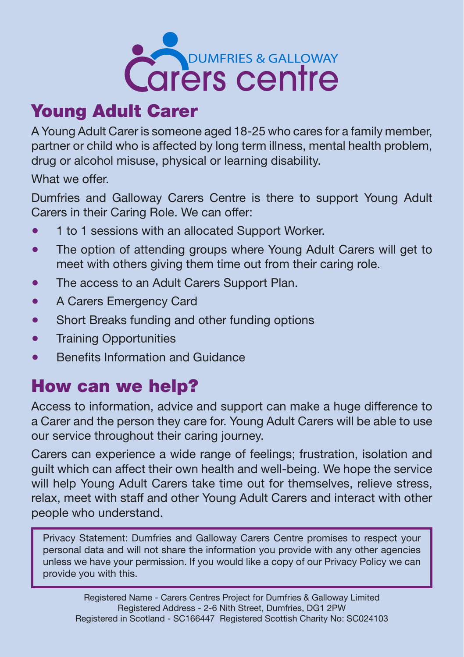

# Young Adult Carer

A Young Adult Carer is someone aged 18-25 who cares for a family member, partner or child who is affected by long term illness, mental health problem, drug or alcohol misuse, physical or learning disability.

What we offer.

Dumfries and Galloway Carers Centre is there to support Young Adult Carers in their Caring Role. We can offer:

- 1 to 1 sessions with an allocated Support Worker.
- The option of attending groups where Young Adult Carers will get to meet with others giving them time out from their caring role.
- The access to an Adult Carers Support Plan.
- A Carers Emergency Card
- Short Breaks funding and other funding options
- **•** Training Opportunities
- Benefits Information and Guidance

# How can we help?

Access to information, advice and support can make a huge difference to a Carer and the person they care for. Young Adult Carers will be able to use our service throughout their caring journey.

Carers can experience a wide range of feelings; frustration, isolation and guilt which can affect their own health and well-being. We hope the service will help Young Adult Carers take time out for themselves, relieve stress, relax, meet with staff and other Young Adult Carers and interact with other people who understand.

Privacy Statement: Dumfries and Galloway Carers Centre promises to respect your personal data and will not share the information you provide with any other agencies unless we have your permission. If you would like a copy of our Privacy Policy we can provide you with this.